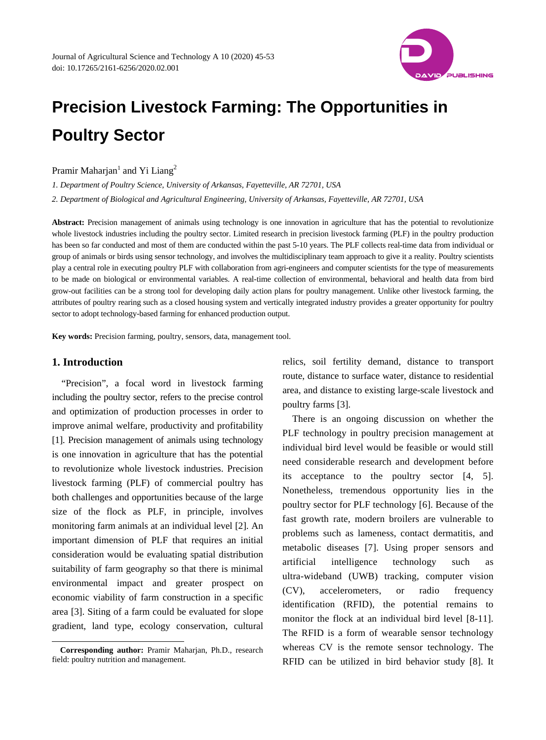

# **Precision Livestock Farming: The Opportunities in Poultry Sector**

Pramir Maharjan<sup>1</sup> and Yi Liang<sup>2</sup>

*1. Department of Poultry Science, University of Arkansas, Fayetteville, AR 72701, USA*

*2. Department of Biological and Agricultural Engineering, University of Arkansas, Fayetteville, AR 72701, USA*

Abstract: Precision management of animals using technology is one innovation in agriculture that has the potential to revolutionize whole livestock industries including the poultry sector. Limited research in precision livestock farming (PLF) in the poultry production has been so far conducted and most of them are conducted within the past 5-10 years. The PLF collects real-time data from individual or group of animals or birds using sensor technology, and involves the multidisciplinary team approach to give it a reality. Poultry scientists play a central role in executing poultry PLF with collaboration from agri-engineers and computer scientists for the type of measurements to be made on biological or environmental variables. A real-time collection of environmental, behavioral and health data from bird grow-out facilities can be a strong tool for developing daily action plans for poultry management. Unlike other livestock farming, the attributes of poultry rearing such as a closed housing system and vertically integrated industry provides a greater opportunity for poultry sector to adopt technology-based farming for enhanced production output.

**Key words:** Precision farming, poultry, sensors, data, management tool.

### **1. Introduction**

"Precision", a focal word in livestock farming including the poultry sector, refers to the precise control and optimization of production processes in order to improve animal welfare, productivity and profitability [1]. Precision management of animals using technology is one innovation in agriculture that has the potential to revolutionize whole livestock industries. Precision livestock farming (PLF) of commercial poultry has both challenges and opportunities because of the large size of the flock as PLF, in principle, involves monitoring farm animals at an individual level [2]. An important dimension of PLF that requires an initial consideration would be evaluating spatial distribution suitability of farm geography so that there is minimal environmental impact and greater prospect on economic viability of farm construction in a specific area [3]. Siting of a farm could be evaluated for slope gradient, land type, ecology conservation, cultural

relics, soil fertility demand, distance to transport route, distance to surface water, distance to residential area, and distance to existing large-scale livestock and poultry farms [3].

There is an ongoing discussion on whether the PLF technology in poultry precision management at individual bird level would be feasible or would still need considerable research and development before its acceptance to the poultry sector [4, 5]. Nonetheless, tremendous opportunity lies in the poultry sector for PLF technology [6]. Because of the fast growth rate, modern broilers are vulnerable to problems such as lameness, contact dermatitis, and metabolic diseases [7]. Using proper sensors and artificial intelligence technology such as ultra-wideband (UWB) tracking, computer vision (CV), accelerometers, or radio frequency identification (RFID), the potential remains to monitor the flock at an individual bird level [8-11]. The RFID is a form of wearable sensor technology whereas CV is the remote sensor technology. The RFID can be utilized in bird behavior study [8]. It

<span id="page-0-0"></span> $\overline{a}$ **Corresponding author:** Pramir Maharjan, Ph.D., research field: poultry nutrition and management.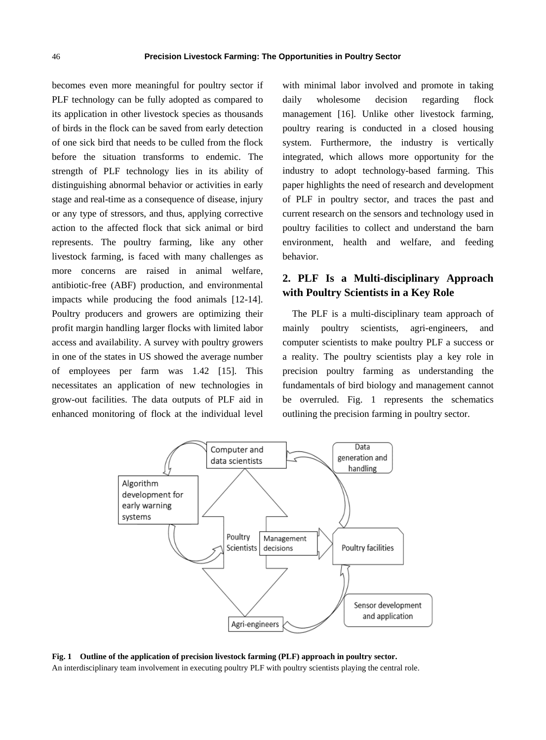becomes even more meaningful for poultry sector if PLF technology can be fully adopted as compared to its application in other livestock species as thousands of birds in the flock can be saved from early detection of one sick bird that needs to be culled from the flock before the situation transforms to endemic. The strength of PLF technology lies in its ability of distinguishing abnormal behavior or activities in early stage and real-time as a consequence of disease, injury or any type of stressors, and thus, applying corrective action to the affected flock that sick animal or bird represents. The poultry farming, like any other livestock farming, is faced with many challenges as more concerns are raised in animal welfare, antibiotic-free (ABF) production, and environmental impacts while producing the food animals [12-14]. Poultry producers and growers are optimizing their profit margin handling larger flocks with limited labor access and availability. A survey with poultry growers in one of the states in US showed the average number of employees per farm was 1.42 [15]. This necessitates an application of new technologies in grow-out facilities. The data outputs of PLF aid in enhanced monitoring of flock at the individual level

with minimal labor involved and promote in taking daily wholesome decision regarding flock management [16]. Unlike other livestock farming, poultry rearing is conducted in a closed housing system. Furthermore, the industry is vertically integrated, which allows more opportunity for the industry to adopt technology-based farming. This paper highlights the need of research and development of PLF in poultry sector, and traces the past and current research on the sensors and technology used in poultry facilities to collect and understand the barn environment, health and welfare, and feeding behavior.

## **2. PLF Is a Multi-disciplinary Approach with Poultry Scientists in a Key Role**

The PLF is a multi-disciplinary team approach of mainly poultry scientists, agri-engineers, and computer scientists to make poultry PLF a success or a reality. The poultry scientists play a key role in precision poultry farming as understanding the fundamentals of bird biology and management cannot be overruled. Fig. 1 represents the schematics outlining the precision farming in poultry sector.



**Fig. 1 Outline of the application of precision livestock farming (PLF) approach in poultry sector.**  An interdisciplinary team involvement in executing poultry PLF with poultry scientists playing the central role.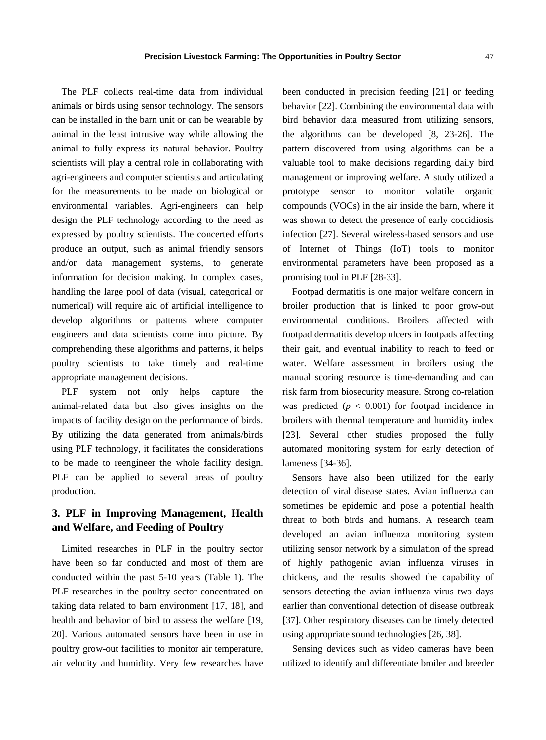The PLF collects real-time data from individual animals or birds using sensor technology. The sensors can be installed in the barn unit or can be wearable by animal in the least intrusive way while allowing the animal to fully express its natural behavior. Poultry scientists will play a central role in collaborating with agri-engineers and computer scientists and articulating for the measurements to be made on biological or environmental variables. Agri-engineers can help design the PLF technology according to the need as expressed by poultry scientists. The concerted efforts produce an output, such as animal friendly sensors and/or data management systems, to generate information for decision making. In complex cases, handling the large pool of data (visual, categorical or numerical) will require aid of artificial intelligence to develop algorithms or patterns where computer engineers and data scientists come into picture. By comprehending these algorithms and patterns, it helps poultry scientists to take timely and real-time appropriate management decisions.

PLF system not only helps capture the animal-related data but also gives insights on the impacts of facility design on the performance of birds. By utilizing the data generated from animals/birds using PLF technology, it facilitates the considerations to be made to reengineer the whole facility design. PLF can be applied to several areas of poultry production.

## **3. PLF in Improving Management, Health and Welfare, and Feeding of Poultry**

Limited researches in PLF in the poultry sector have been so far conducted and most of them are conducted within the past 5-10 years (Table 1). The PLF researches in the poultry sector concentrated on taking data related to barn environment [17, 18], and health and behavior of bird to assess the welfare [19, 20]. Various automated sensors have been in use in poultry grow-out facilities to monitor air temperature, air velocity and humidity. Very few researches have been conducted in precision feeding [21] or feeding behavior [22]. Combining the environmental data with bird behavior data measured from utilizing sensors, the algorithms can be developed [8, 23-26]. The pattern discovered from using algorithms can be a valuable tool to make decisions regarding daily bird management or improving welfare. A study utilized a prototype sensor to monitor volatile organic compounds (VOCs) in the air inside the barn, where it was shown to detect the presence of early coccidiosis infection [27]. Several wireless-based sensors and use of Internet of Things (IoT) tools to monitor environmental parameters have been proposed as a promising tool in PLF [28-33].

Footpad dermatitis is one major welfare concern in broiler production that is linked to poor grow-out environmental conditions. Broilers affected with footpad dermatitis develop ulcers in footpads affecting their gait, and eventual inability to reach to feed or water. Welfare assessment in broilers using the manual scoring resource is time-demanding and can risk farm from biosecurity measure. Strong co-relation was predicted  $(p < 0.001)$  for footpad incidence in broilers with thermal temperature and humidity index [23]. Several other studies proposed the fully automated monitoring system for early detection of lameness [34-36].

Sensors have also been utilized for the early detection of viral disease states. Avian influenza can sometimes be epidemic and pose a potential health threat to both birds and humans. A research team developed an avian influenza monitoring system utilizing sensor network by a simulation of the spread of highly pathogenic avian influenza viruses in chickens, and the results showed the capability of sensors detecting the avian influenza virus two days earlier than conventional detection of disease outbreak [37]. Other respiratory diseases can be timely detected using appropriate sound technologies [26, 38].

Sensing devices such as video cameras have been utilized to identify and differentiate broiler and breeder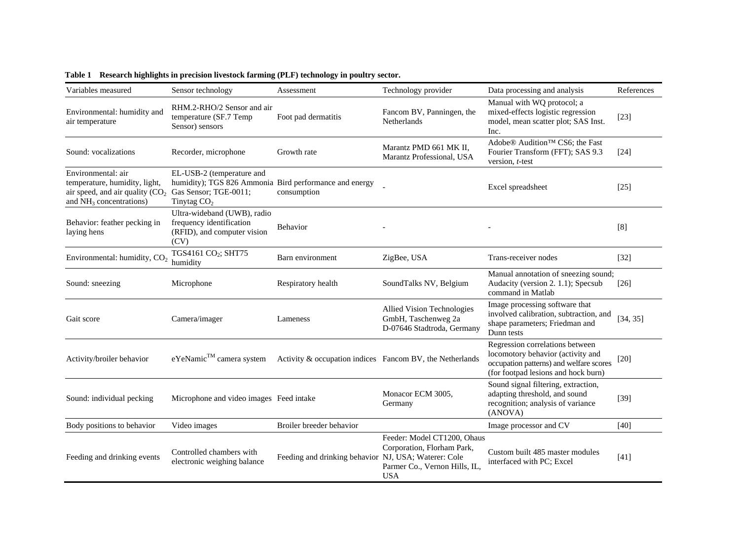| Variables measured                                                                                                                                    | Sensor technology                                                                                              | Assessment                                               | Technology provider                                                                                      | Data processing and analysis                                                                                                                           | References         |
|-------------------------------------------------------------------------------------------------------------------------------------------------------|----------------------------------------------------------------------------------------------------------------|----------------------------------------------------------|----------------------------------------------------------------------------------------------------------|--------------------------------------------------------------------------------------------------------------------------------------------------------|--------------------|
| Environmental: humidity and<br>air temperature                                                                                                        | RHM.2-RHO/2 Sensor and air<br>temperature (SF.7 Temp<br>Sensor) sensors                                        | Foot pad dermatitis                                      | Fancom BV, Panningen, the<br>Netherlands                                                                 | Manual with WQ protocol; a<br>mixed-effects logistic regression<br>model, mean scatter plot; SAS Inst.<br>Inc.                                         | $[23]$             |
| Sound: vocalizations                                                                                                                                  | Recorder, microphone                                                                                           | Growth rate                                              | Marantz PMD 661 MK II,<br>Marantz Professional, USA                                                      | Adobe® Audition <sup>™</sup> CS6; the Fast<br>Fourier Transform (FFT); SAS 9.3<br>version, t-test                                                      | $[24]$             |
| Environmental: air<br>temperature, humidity, light,<br>air speed, and air quality (CO <sub>2</sub> Gas Sensor; TGE-0011;<br>and $NH3$ concentrations) | EL-USB-2 (temperature and<br>humidity); TGS 826 Ammonia Bird performance and energy<br>Tinytag CO <sub>2</sub> | consumption                                              |                                                                                                          | Excel spreadsheet                                                                                                                                      | [25]               |
| Behavior: feather pecking in<br>laying hens                                                                                                           | Ultra-wideband (UWB), radio<br>frequency identification<br>(RFID), and computer vision<br>(CV)                 | Behavior                                                 |                                                                                                          |                                                                                                                                                        | [8]                |
| Environmental: humidity, CO <sub>2</sub>                                                                                                              | TGS4161 CO <sub>2</sub> ; SHT75<br>humidity                                                                    | Barn environment                                         | ZigBee, USA                                                                                              | Trans-receiver nodes                                                                                                                                   | $[32]$             |
| Sound: sneezing                                                                                                                                       | Microphone                                                                                                     | Respiratory health                                       | SoundTalks NV, Belgium                                                                                   | Manual annotation of sneezing sound;<br>Audacity (version 2. 1.1); Specsub<br>command in Matlab                                                        | $\lceil 26 \rceil$ |
| Gait score                                                                                                                                            | Camera/imager                                                                                                  | Lameness                                                 | Allied Vision Technologies<br>GmbH, Taschenweg 2a<br>D-07646 Stadtroda, Germany                          | Image processing software that<br>involved calibration, subtraction, and<br>shape parameters; Friedman and<br>Dunn tests                               | [34, 35]           |
| Activity/broiler behavior                                                                                                                             | eYeNamic™ camera system                                                                                        | Activity & occupation indices Fancom BV, the Netherlands |                                                                                                          | Regression correlations between<br>locomotory behavior (activity and<br>occupation patterns) and welfare scores<br>(for footpad lesions and hock burn) | $[20]$             |
| Sound: individual pecking                                                                                                                             | Microphone and video images Feed intake                                                                        |                                                          | Monacor ECM 3005,<br>Germany                                                                             | Sound signal filtering, extraction,<br>adapting threshold, and sound<br>recognition; analysis of variance<br>(ANOVA)                                   | $[39]$             |
| Body positions to behavior                                                                                                                            | Video images                                                                                                   | Broiler breeder behavior                                 |                                                                                                          | Image processor and CV                                                                                                                                 | [40]               |
| Feeding and drinking events                                                                                                                           | Controlled chambers with<br>electronic weighing balance                                                        | Feeding and drinking behavior NJ, USA; Waterer: Cole     | Feeder: Model CT1200, Ohaus<br>Corporation, Florham Park,<br>Parmer Co., Vernon Hills, IL,<br><b>USA</b> | Custom built 485 master modules<br>interfaced with PC; Excel                                                                                           | $[41]$             |

**Table 1 Research highlights in precision livestock farming (PLF) technology in poultry sector.**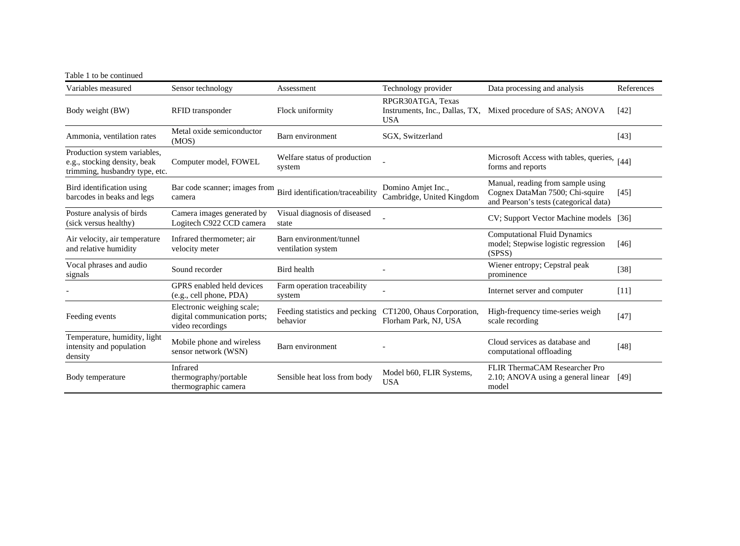| Table 1 to be continued                                                                        |                                                                                |                                                                       |                                                                   |                                                                                                                |            |
|------------------------------------------------------------------------------------------------|--------------------------------------------------------------------------------|-----------------------------------------------------------------------|-------------------------------------------------------------------|----------------------------------------------------------------------------------------------------------------|------------|
| Variables measured                                                                             | Sensor technology                                                              | Assessment                                                            | Technology provider                                               | Data processing and analysis                                                                                   | References |
| Body weight (BW)                                                                               | RFID transponder                                                               | Flock uniformity                                                      | RPGR30ATGA, Texas<br>Instruments, Inc., Dallas, TX,<br><b>USA</b> | Mixed procedure of SAS; ANOVA                                                                                  | [42]       |
| Ammonia, ventilation rates                                                                     | Metal oxide semiconductor<br>(MOS)                                             | Barn environment                                                      | SGX, Switzerland                                                  |                                                                                                                | $[43]$     |
| Production system variables,<br>e.g., stocking density, beak<br>trimming, husbandry type, etc. | Computer model, FOWEL                                                          | Welfare status of production<br>system                                |                                                                   | Microsoft Access with tables, queries,<br>forms and reports                                                    | [44]       |
| Bird identification using<br>barcodes in beaks and legs                                        | Bar code scanner; images from<br>camera                                        | Bird identification/traceability                                      | Domino Amjet Inc.,<br>Cambridge, United Kingdom                   | Manual, reading from sample using<br>Cognex DataMan 7500; Chi-squire<br>and Pearson's tests (categorical data) | $[45]$     |
| Posture analysis of birds<br>(sick versus healthy)                                             | Camera images generated by<br>Logitech C922 CCD camera                         | Visual diagnosis of diseased<br>state                                 |                                                                   | CV; Support Vector Machine models [36]                                                                         |            |
| Air velocity, air temperature<br>and relative humidity                                         | Infrared thermometer; air<br>velocity meter                                    | Barn environment/tunnel<br>ventilation system                         |                                                                   | <b>Computational Fluid Dynamics</b><br>model; Stepwise logistic regression<br>(SPSS)                           | $[46]$     |
| Vocal phrases and audio<br>signals                                                             | Sound recorder                                                                 | Bird health                                                           |                                                                   | Wiener entropy; Cepstral peak<br>prominence                                                                    | $[38]$     |
|                                                                                                | GPRS enabled held devices<br>(e.g., cell phone, PDA)                           | Farm operation traceability<br>system                                 |                                                                   | Internet server and computer                                                                                   | [11]       |
| Feeding events                                                                                 | Electronic weighing scale;<br>digital communication ports;<br>video recordings | Feeding statistics and pecking CT1200, Ohaus Corporation,<br>behavior | Florham Park, NJ, USA                                             | High-frequency time-series weigh<br>scale recording                                                            | $[47]$     |
| Temperature, humidity, light<br>intensity and population<br>density                            | Mobile phone and wireless<br>sensor network (WSN)                              | Barn environment                                                      |                                                                   | Cloud services as database and<br>computational offloading                                                     | $[48]$     |
| Body temperature                                                                               | Infrared<br>thermography/portable<br>thermographic camera                      | Sensible heat loss from body                                          | Model b60, FLIR Systems,<br><b>USA</b>                            | FLIR ThermaCAM Researcher Pro<br>2.10; ANOVA using a general linear<br>model                                   | [49]       |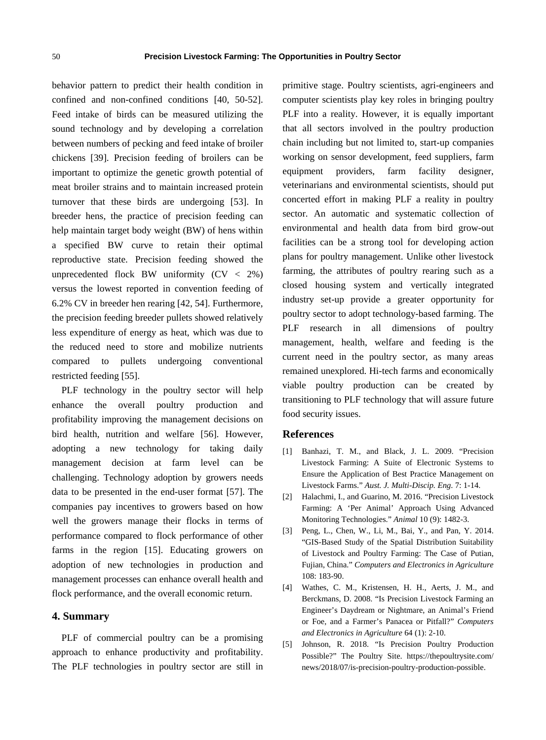behavior pattern to predict their health condition in confined and non-confined conditions [40, 50-52]. Feed intake of birds can be measured utilizing the sound technology and by developing a correlation between numbers of pecking and feed intake of broiler chickens [39]. Precision feeding of broilers can be important to optimize the genetic growth potential of meat broiler strains and to maintain increased protein turnover that these birds are undergoing [53]. In breeder hens, the practice of precision feeding can help maintain target body weight (BW) of hens within a specified BW curve to retain their optimal reproductive state. Precision feeding showed the unprecedented flock BW uniformity  $(CV < 2\%)$ versus the lowest reported in convention feeding of 6.2% CV in breeder hen rearing [42, 54]. Furthermore, the precision feeding breeder pullets showed relatively less expenditure of energy as heat, which was due to the reduced need to store and mobilize nutrients compared to pullets undergoing conventional restricted feeding [55].

PLF technology in the poultry sector will help enhance the overall poultry production and profitability improving the management decisions on bird health, nutrition and welfare [56]. However, adopting a new technology for taking daily management decision at farm level can be challenging. Technology adoption by growers needs data to be presented in the end-user format [57]. The companies pay incentives to growers based on how well the growers manage their flocks in terms of performance compared to flock performance of other farms in the region [15]. Educating growers on adoption of new technologies in production and management processes can enhance overall health and flock performance, and the overall economic return.

#### **4. Summary**

PLF of commercial poultry can be a promising approach to enhance productivity and profitability. The PLF technologies in poultry sector are still in primitive stage. Poultry scientists, agri-engineers and computer scientists play key roles in bringing poultry PLF into a reality. However, it is equally important that all sectors involved in the poultry production chain including but not limited to, start-up companies working on sensor development, feed suppliers, farm equipment providers, farm facility designer, veterinarians and environmental scientists, should put concerted effort in making PLF a reality in poultry sector. An automatic and systematic collection of environmental and health data from bird grow-out facilities can be a strong tool for developing action plans for poultry management. Unlike other livestock farming, the attributes of poultry rearing such as a closed housing system and vertically integrated industry set-up provide a greater opportunity for poultry sector to adopt technology-based farming. The PLF research in all dimensions of poultry management, health, welfare and feeding is the current need in the poultry sector, as many areas remained unexplored. Hi-tech farms and economically viable poultry production can be created by transitioning to PLF technology that will assure future food security issues.

#### **References**

- [1] Banhazi, T. M., and Black, J. L. 2009. "Precision Livestock Farming: A Suite of Electronic Systems to Ensure the Application of Best Practice Management on Livestock Farms." *Aust. J. Multi-Discip. Eng*. 7: 1-14.
- [2] Halachmi, I., and Guarino, M. 2016. "Precision Livestock Farming: A 'Per Animal' Approach Using Advanced Monitoring Technologies." *Animal* 10 (9): 1482-3.
- [3] Peng, L., Chen, W., Li, M., Bai, Y., and Pan, Y. 2014. "GIS-Based Study of the Spatial Distribution Suitability of Livestock and Poultry Farming: The Case of Putian, Fujian, China." *Computers and Electronics in Agriculture* 108: 183-90.
- [4] Wathes, C. M., Kristensen, H. H., Aerts, J. M., and Berckmans, D. 2008. "Is Precision Livestock Farming an Engineer's Daydream or Nightmare, an Animal's Friend or Foe, and a Farmer's Panacea or Pitfall?" *Computers and Electronics in Agriculture* 64 (1): 2-10.
- [5] Johnson, R. 2018. "Is Precision Poultry Production Possible?" The Poultry Site. <https://thepoultrysite.com/> news/2018/07/is-precision-poultry-production-possible.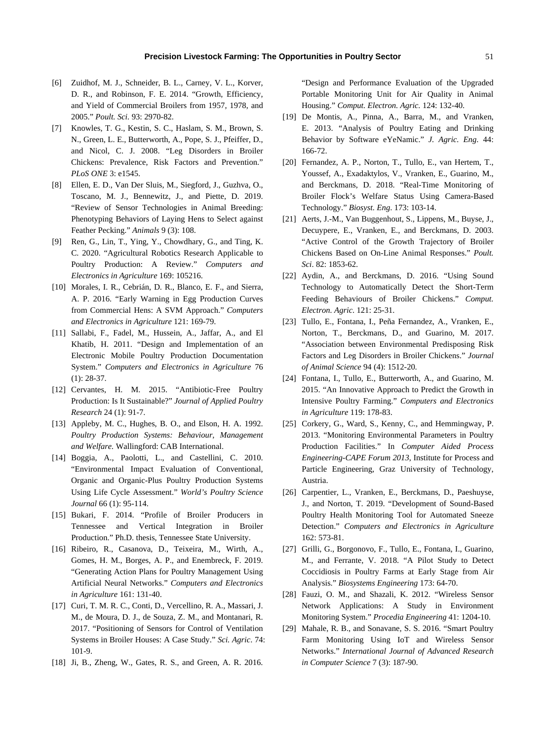- [6] Zuidhof, M. J., Schneider, B. L., Carney, V. L., Korver, D. R., and Robinson, F. E. 2014. "Growth, Efficiency, and Yield of Commercial Broilers from 1957, 1978, and 2005." *Poult. Sci.* 93: 2970-82.
- [7] Knowles, T. G., Kestin, S. C., Haslam, S. M., Brown, S. N., Green, L. E., Butterworth, A., Pope, S. J., Pfeiffer, D., and Nicol, C. J. 2008. "Leg Disorders in Broiler Chickens: Prevalence, Risk Factors and Prevention." *PLoS ONE* 3: e1545.
- [8] Ellen, E. D., Van Der Sluis, M., Siegford, J., Guzhva, O., Toscano, M. J., Bennewitz, J., and Piette, D. 2019. "Review of Sensor Technologies in Animal Breeding: Phenotyping Behaviors of Laying Hens to Select against Feather Pecking." *Animals* 9 (3): 108.
- [9] Ren, G., Lin, T., Ying, Y., Chowdhary, G., and Ting, K. C. 2020. "Agricultural Robotics Research Applicable to Poultry Production: A Review." *Computers and Electronics in Agriculture* 169: 105216.
- [10] Morales, I. R., Cebrián, D. R., Blanco, E. F., and Sierra, A. P. 2016. "Early Warning in Egg Production Curves from Commercial Hens: A SVM Approach." *Computers and Electronics in Agriculture* 121: 169-79.
- [11] Sallabi, F., Fadel, M., Hussein, A., Jaffar, A., and El Khatib, H. 2011. "Design and Implementation of an Electronic Mobile Poultry Production Documentation System." *Computers and Electronics in Agriculture* 76 (1): 28-37.
- [12] Cervantes, H. M. 2015. "Antibiotic-Free Poultry Production: Is It Sustainable?" *Journal of Applied Poultry Research* 24 (1): 91-7.
- [13] Appleby, M. C., Hughes, B. O., and Elson, H. A. 1992. *Poultry Production Systems: Behaviour, Management and Welfare.* Wallingford: CAB International.
- [14] Boggia, A., Paolotti, L., and Castellini, C. 2010. "Environmental Impact Evaluation of Conventional, Organic and Organic-Plus Poultry Production Systems Using Life Cycle Assessment." *World's Poultry Science Journal* 66 (1): 95-114.
- [15] Bukari, F. 2014. "Profile of Broiler Producers in Tennessee and Vertical Integration in Broiler Production." Ph.D. thesis, Tennessee State University.
- [16] Ribeiro, R., Casanova, D., Teixeira, M., Wirth, A., Gomes, H. M., Borges, A. P., and Enembreck, F. 2019. "Generating Action Plans for Poultry Management Using Artificial Neural Networks." *Computers and Electronics in Agriculture* 161: 131-40.
- [17] Curi, T. M. R. C., Conti, D., Vercellino, R. A., Massari, J. M., de Moura, D. J., de Souza, Z. M., and Montanari, R. 2017. "Positioning of Sensors for Control of Ventilation Systems in Broiler Houses: A Case Study." *Sci. Agric*. 74: 101-9.
- [18] Ji, B., Zheng, W., Gates, R. S., and Green, A. R. 2016.

"Design and Performance Evaluation of the Upgraded Portable Monitoring Unit for Air Quality in Animal Housing." *Comput. Electron. Agric.* 124: 132-40.

- [19] De Montis, A., Pinna, A., Barra, M., and Vranken, E. 2013. "Analysis of Poultry Eating and Drinking Behavior by Software eYeNamic." *J. Agric. Eng*. 44: 166-72.
- [20] Fernandez, A. P., Norton, T., Tullo, E., van Hertem, T., Youssef, A., Exadaktylos, V., Vranken, E., Guarino, M., and Berckmans, D. 2018. "Real-Time Monitoring of Broiler Flock's Welfare Status Using Camera-Based Technology." *Biosyst. Eng*. 173: 103-14.
- [21] Aerts, J.-M., Van Buggenhout, S., Lippens, M., Buyse, J., Decuypere, E., Vranken, E., and Berckmans, D. 2003. "Active Control of the Growth Trajectory of Broiler Chickens Based on On-Line Animal Responses." *Poult. Sci*. 82: 1853-62.
- [22] Aydin, A., and Berckmans, D. 2016. "Using Sound Technology to Automatically Detect the Short-Term Feeding Behaviours of Broiler Chickens." *Comput. Electron. Agric*. 121: 25-31.
- [23] Tullo, E., Fontana, I., Peña Fernandez, A., Vranken, E., Norton, T., Berckmans, D., and Guarino, M. 2017. "Association between Environmental Predisposing Risk Factors and Leg Disorders in Broiler Chickens." *Journal of Animal Science* 94 (4): 1512-20.
- [24] Fontana, I., Tullo, E., Butterworth, A., and Guarino, M. 2015. "An Innovative Approach to Predict the Growth in Intensive Poultry Farming." *Computers and Electronics in Agriculture* 119: 178-83.
- [25] Corkery, G., Ward, S., Kenny, C., and Hemmingway, P. 2013. "Monitoring Environmental Parameters in Poultry Production Facilities." In *Computer Aided Process Engineering-CAPE Forum 2013*, Institute for Process and Particle Engineering, Graz University of Technology, Austria.
- [26] Carpentier, L., Vranken, E., Berckmans, D., Paeshuyse, J., and Norton, T. 2019. "Development of Sound-Based Poultry Health Monitoring Tool for Automated Sneeze Detection." *Computers and Electronics in Agriculture* 162: 573-81.
- [27] Grilli, G., Borgonovo, F., Tullo, E., Fontana, I., Guarino, M., and Ferrante, V. 2018. "A Pilot Study to Detect Coccidiosis in Poultry Farms at Early Stage from Air Analysis." *Biosystems Engineering* 173: 64-70.
- [28] Fauzi, O. M., and Shazali, K. 2012. "Wireless Sensor Network Applications: A Study in Environment Monitoring System." *Procedia Engineering* 41: 1204-10.
- [29] Mahale, R. B., and Sonavane, S. S. 2016. "Smart Poultry Farm Monitoring Using IoT and Wireless Sensor Networks." *International Journal of Advanced Research in Computer Science* 7 (3): 187-90.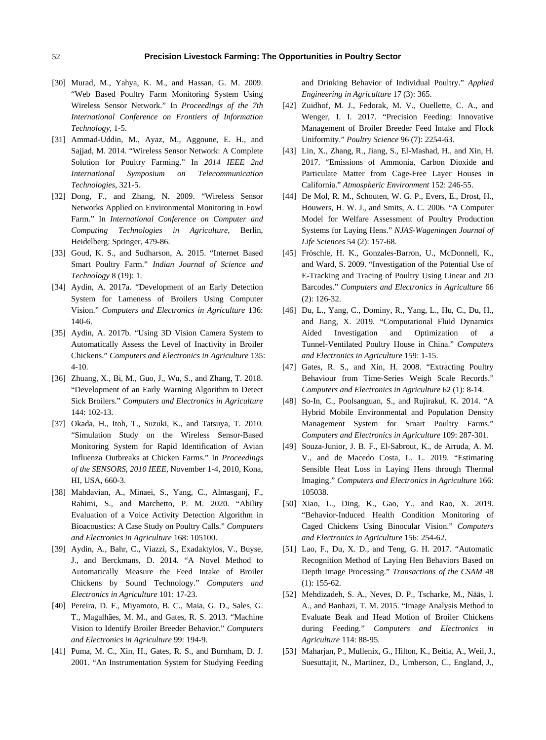- [30] Murad, M., Yahya, K. M., and Hassan, G. M. 2009. "Web Based Poultry Farm Monitoring System Using Wireless Sensor Network." In *Proceedings of the 7th International Conference on Frontiers of Information Technology*, 1-5.
- [31] Ammad-Uddin, M., Ayaz, M., Aggoune, E. H., and Sajjad, M. 2014. "Wireless Sensor Network: A Complete Solution for Poultry Farming." In *2014 IEEE 2nd International Symposium on Telecommunication Technologies*, 321-5.
- [32] Dong, F., and Zhang, N. 2009. "Wireless Sensor Networks Applied on Environmental Monitoring in Fowl Farm." In *International Conference on Computer and Computing Technologies in Agriculture,* Berlin, Heidelberg: Springer, 479-86.
- [33] Goud, K. S., and Sudharson, A. 2015. "Internet Based Smart Poultry Farm." *Indian Journal of Science and Technology* 8 (19): 1.
- [34] Aydin, A. 2017a. "Development of an Early Detection System for Lameness of Broilers Using Computer Vision." *Computers and Electronics in Agriculture* 136: 140-6.
- [35] Aydin, A. 2017b. "Using 3D Vision Camera System to Automatically Assess the Level of Inactivity in Broiler Chickens." *Computers and Electronics in Agriculture* 135: 4-10.
- [36] Zhuang, X., Bi, M., Guo, J., Wu, S., and Zhang, T. 2018. "Development of an Early Warning Algorithm to Detect Sick Broilers." *Computers and Electronics in Agriculture* 144: 102-13.
- [37] Okada, H., Itoh, T., Suzuki, K., and Tatsuya, T. 2010. "Simulation Study on the Wireless Sensor-Based Monitoring System for Rapid Identification of Avian Influenza Outbreaks at Chicken Farms." In *Proceedings of the SENSORS, 2010 IEEE,* November 1-4, 2010, Kona, HI, USA, 660-3.
- [38] Mahdavian, A., Minaei, S., Yang, C., Almasganj, F., Rahimi, S., and Marchetto, P. M. 2020. "Ability Evaluation of a Voice Activity Detection Algorithm in Bioacoustics: A Case Study on Poultry Calls." *Computers and Electronics in Agriculture* 168: 105100.
- [39] Aydin, A., Bahr, C., Viazzi, S., Exadaktylos, V., Buyse, J., and Berckmans, D. 2014. "A Novel Method to Automatically Measure the Feed Intake of Broiler Chickens by Sound Technology." *Computers and Electronics in Agriculture* 101: 17-23.
- [40] Pereira, D. F., Miyamoto, B. C., Maia, G. D., Sales, G. T., Magalhães, M. M., and Gates, R. S. 2013. "Machine Vision to Identify Broiler Breeder Behavior." *Computers and Electronics in Agriculture* 99: 194-9.
- [41] Puma, M. C., Xin, H., Gates, R. S., and Burnham, D. J. 2001. "An Instrumentation System for Studying Feeding

and Drinking Behavior of Individual Poultry." *Applied Engineering in Agriculture* 17 (3): 365.

- [42] Zuidhof, M. J., Fedorak, M. V., Ouellette, C. A., and Wenger, I. I. 2017. "Precision Feeding: Innovative Management of Broiler Breeder Feed Intake and Flock Uniformity." *Poultry Science* 96 (7): 2254-63.
- [43] Lin, X., Zhang, R., Jiang, S., El-Mashad, H., and Xin, H. 2017. "Emissions of Ammonia, Carbon Dioxide and Particulate Matter from Cage-Free Layer Houses in California." *Atmospheric Environment* 152: 246-55.
- [44] De Mol, R. M., Schouten, W. G. P., Evers, E., Drost, H., Houwers, H. W. J., and Smits, A. C. 2006. "A Computer Model for Welfare Assessment of Poultry Production Systems for Laying Hens." *NJAS-Wageningen Journal of Life Sciences* 54 (2): 157-68.
- [45] Fröschle, H. K., Gonzales-Barron, U., McDonnell, K., and Ward, S. 2009. "Investigation of the Potential Use of E-Tracking and Tracing of Poultry Using Linear and 2D Barcodes." *Computers and Electronics in Agriculture* 66 (2): 126-32.
- [46] Du, L., Yang, C., Dominy, R., Yang, L., Hu, C., Du, H., and Jiang, X. 2019. "Computational Fluid Dynamics Aided Investigation and Optimization of a Tunnel-Ventilated Poultry House in China." *Computers and Electronics in Agriculture* 159: 1-15.
- [47] Gates, R. S., and Xin, H. 2008. "Extracting Poultry Behaviour from Time-Series Weigh Scale Records." *Computers and Electronics in Agriculture* 62 (1): 8-14.
- [48] So-In, C., Poolsanguan, S., and Rujirakul, K. 2014. "A Hybrid Mobile Environmental and Population Density Management System for Smart Poultry Farms." *Computers and Electronics in Agriculture* 109: 287-301.
- [49] Souza-Junior, J. B. F., El-Sabrout, K., de Arruda, A. M. V., and de Macedo Costa, L. L. 2019. "Estimating Sensible Heat Loss in Laying Hens through Thermal Imaging." *Computers and Electronics in Agriculture* 166: 105038.
- [50] Xiao, L., Ding, K., Gao, Y., and Rao, X. 2019. "Behavior-Induced Health Condition Monitoring of Caged Chickens Using Binocular Vision." *Computers and Electronics in Agriculture* 156: 254-62.
- [51] Lao, F., Du, X. D., and Teng, G. H. 2017. "Automatic Recognition Method of Laying Hen Behaviors Based on Depth Image Processing." *Transactions of the CSAM* 48 (1): 155-62.
- [52] Mehdizadeh, S. A., Neves, D. P., Tscharke, M., Nääs, I. A., and Banhazi, T. M. 2015. "Image Analysis Method to Evaluate Beak and Head Motion of Broiler Chickens during Feeding." *Computers and Electronics in Agriculture* 114: 88-95.
- [53] Maharjan, P., Mullenix, G., Hilton, K., Beitia, A., Weil, J., Suesuttajit, N., Martinez, D., Umberson, C., England, J.,